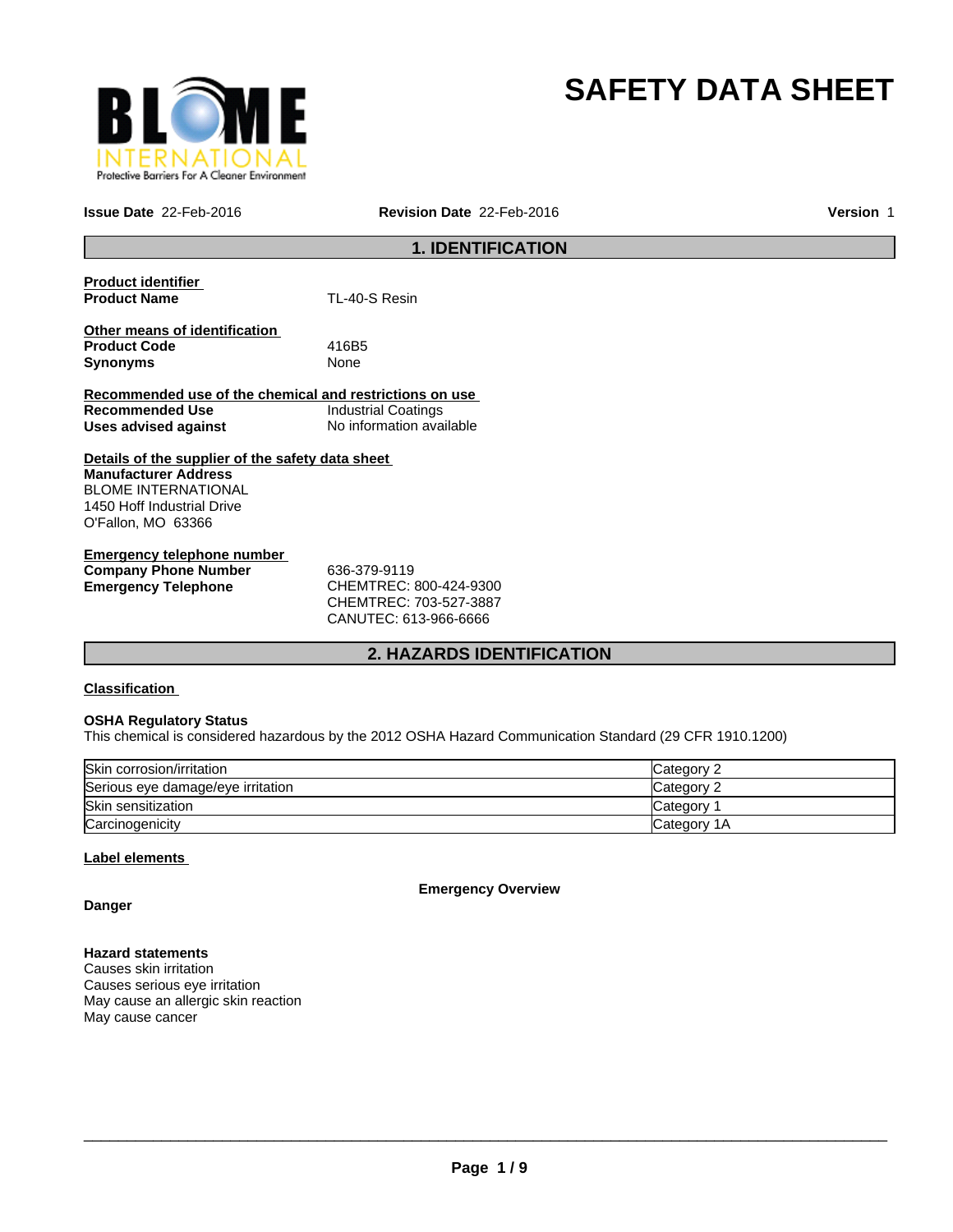

# **SAFETY DATA SHEET**

**Issue Date** 22-Feb-2016

**Revision Date** 22-Feb-2016 **Version** 1

# **1. IDENTIFICATION**

| TL-40-S Resin                                           |
|---------------------------------------------------------|
|                                                         |
|                                                         |
| 416B5                                                   |
| None                                                    |
|                                                         |
| Recommended use of the chemical and restrictions on use |
| <b>Industrial Coatings</b>                              |
| No information available                                |
|                                                         |
| Details of the supplier of the safety data sheet        |
|                                                         |
|                                                         |
|                                                         |
|                                                         |
|                                                         |
|                                                         |

| Emergency telephone number  |                             |
|-----------------------------|-----------------------------|
| <b>Company Phone Number</b> | 636-379-9119                |
| Emergency Telephone         | CHEMTREC: 800-424-9300      |
|                             | $C$ HEMTDE $C$ 703-527-3887 |

CHEMTREC: 703-527-3887 CANUTEC: 613-966-6666

# **2. HAZARDS IDENTIFICATION**

### **Classification**

### **OSHA Regulatory Status**

This chemical is considered hazardous by the 2012 OSHA Hazard Communication Standard (29 CFR 1910.1200)

| Skin corrosion/irritation         | Category 2  |
|-----------------------------------|-------------|
| Serious eye damage/eye irritation | Category 2  |
| Skin sensitization                | Category    |
| Carcinogenicity                   | Category 1A |

### **Label elements**

**Emergency Overview**

**Danger**

### **Hazard statements**

Causes skin irritation Causes serious eye irritation May cause an allergic skin reaction May cause cancer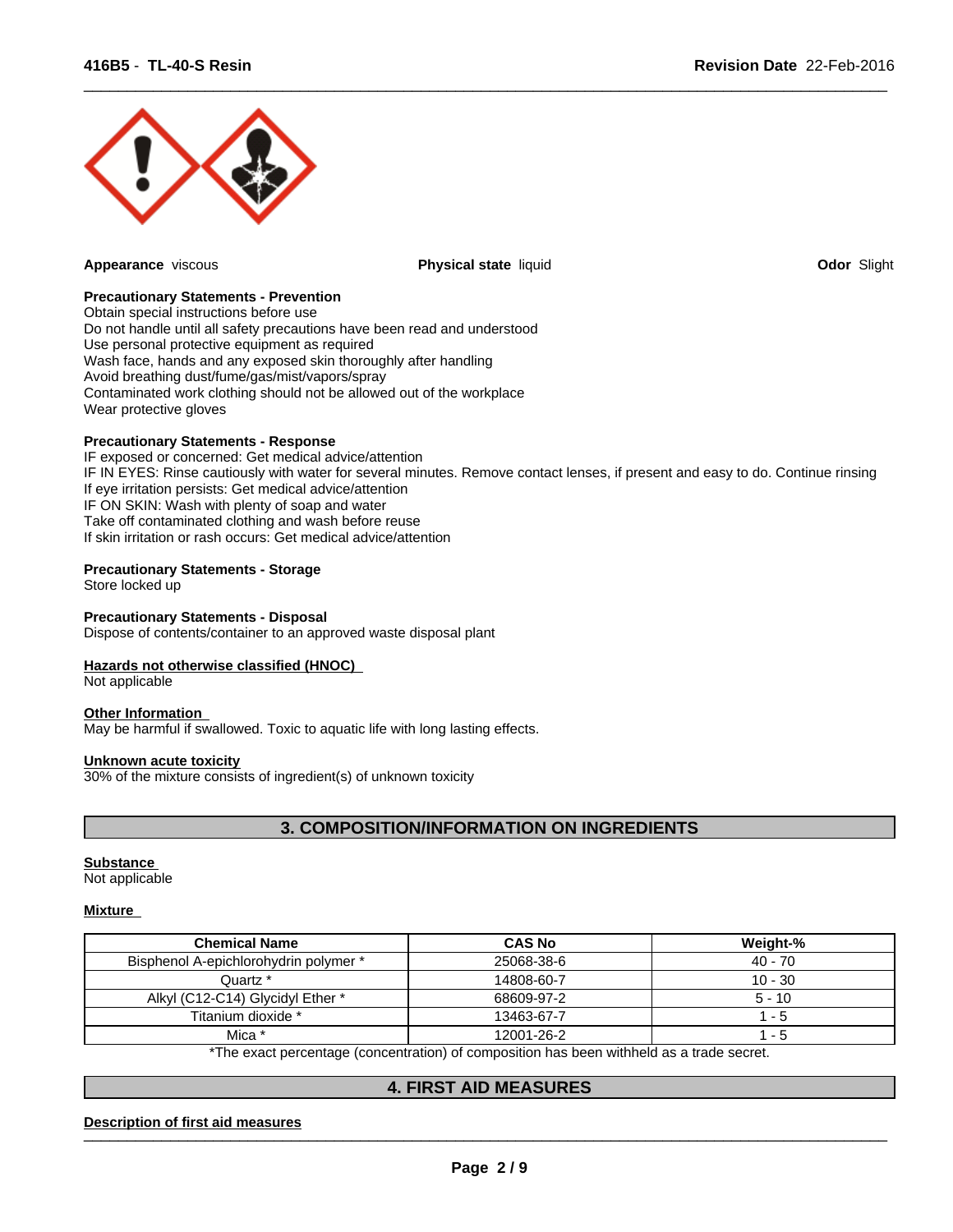

**Appearance** viscous **Physical state** liquid **Odor** Slight

 $\overline{\phantom{a}}$  ,  $\overline{\phantom{a}}$  ,  $\overline{\phantom{a}}$  ,  $\overline{\phantom{a}}$  ,  $\overline{\phantom{a}}$  ,  $\overline{\phantom{a}}$  ,  $\overline{\phantom{a}}$  ,  $\overline{\phantom{a}}$  ,  $\overline{\phantom{a}}$  ,  $\overline{\phantom{a}}$  ,  $\overline{\phantom{a}}$  ,  $\overline{\phantom{a}}$  ,  $\overline{\phantom{a}}$  ,  $\overline{\phantom{a}}$  ,  $\overline{\phantom{a}}$  ,  $\overline{\phantom{a}}$ 

### **Precautionary Statements - Prevention**

Obtain special instructions before use Do not handle until all safety precautions have been read and understood Use personal protective equipment as required Wash face, hands and any exposed skin thoroughly after handling Avoid breathing dust/fume/gas/mist/vapors/spray Contaminated work clothing should not be allowed out of the workplace Wear protective gloves

### **Precautionary Statements - Response**

IF exposed or concerned: Get medical advice/attention IF IN EYES: Rinse cautiously with water for several minutes. Remove contact lenses, if present and easy to do. Continue rinsing If eye irritation persists: Get medical advice/attention IF ON SKIN: Wash with plenty of soap and water Take off contaminated clothing and wash before reuse If skin irritation or rash occurs: Get medical advice/attention

### **Precautionary Statements - Storage**

Store locked up

### **Precautionary Statements - Disposal**

Dispose of contents/container to an approved waste disposal plant

### **Hazards not otherwise classified (HNOC)**

Not applicable

### **Other Information**

May be harmful if swallowed. Toxic to aquatic life with long lasting effects.

### **Unknown acute toxicity**

30% of the mixture consists of ingredient(s) of unknown toxicity

# **3. COMPOSITION/INFORMATION ON INGREDIENTS**

### **Substance**

Not applicable

### **Mixture**

| <b>Chemical Name</b>                                                                        | <b>CAS No</b> | Weight-%  |  |  |
|---------------------------------------------------------------------------------------------|---------------|-----------|--|--|
| Bisphenol A-epichlorohydrin polymer *                                                       | 25068-38-6    | 40 - 70   |  |  |
| Quartz *                                                                                    | 14808-60-7    | $10 - 30$ |  |  |
| Alkyl (C12-C14) Glycidyl Ether *                                                            | 68609-97-2    | $5 - 10$  |  |  |
| Titanium dioxide *                                                                          | 13463-67-7    | - 5       |  |  |
| Mica *                                                                                      | 12001-26-2    | - 5       |  |  |
| *The except perceptance (approximation) of approaching has been withheld as a trade approxi |               |           |  |  |

The exact percentage (concentration) of composition has been withheld as a trade secret.

# **4. FIRST AID MEASURES**

### Description of first aid measures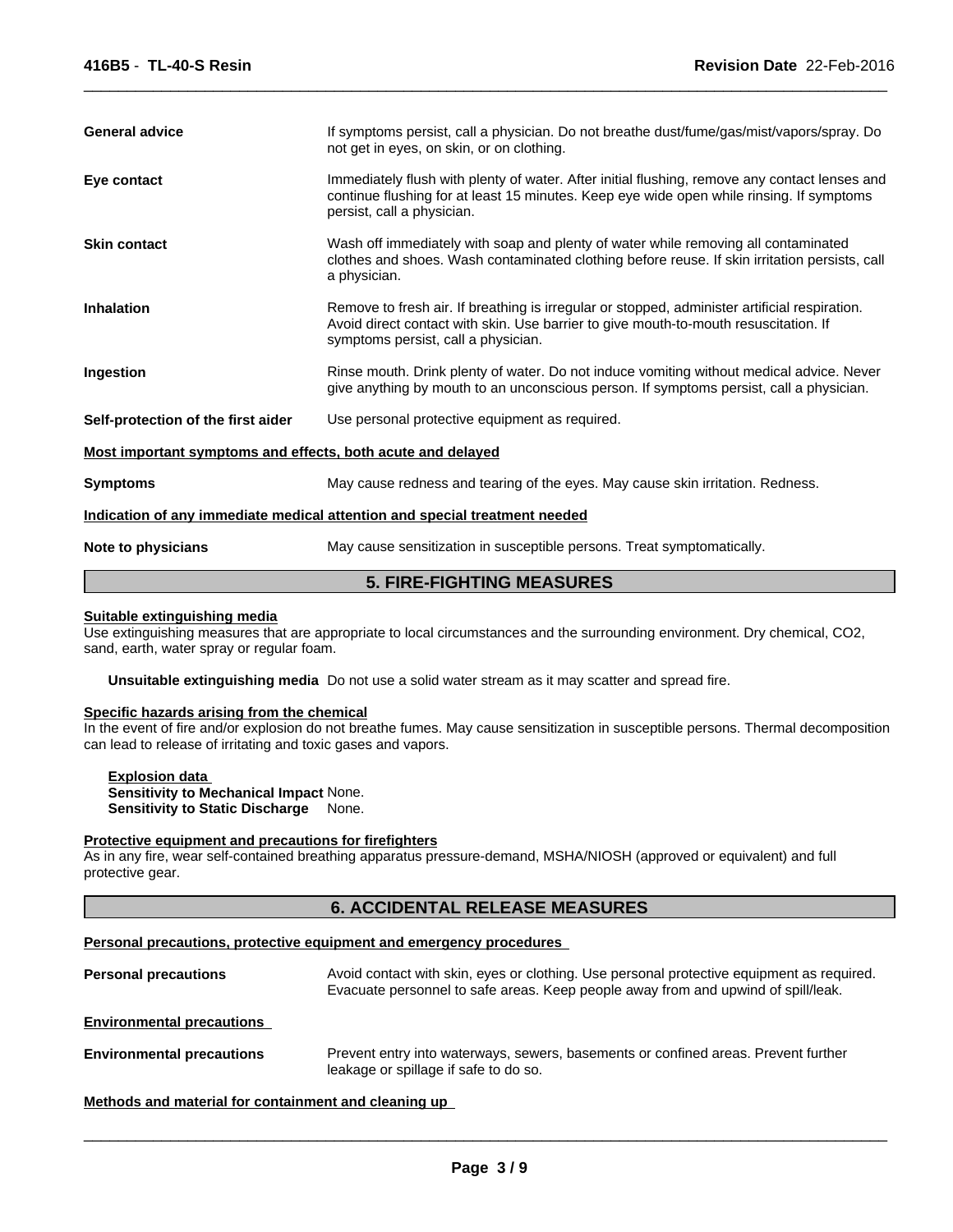| <b>General advice</b>                                                      | If symptoms persist, call a physician. Do not breathe dust/fume/gas/mist/vapors/spray. Do<br>not get in eyes, on skin, or on clothing.                                                                                       |  |  |  |
|----------------------------------------------------------------------------|------------------------------------------------------------------------------------------------------------------------------------------------------------------------------------------------------------------------------|--|--|--|
| Eye contact                                                                | Immediately flush with plenty of water. After initial flushing, remove any contact lenses and<br>continue flushing for at least 15 minutes. Keep eye wide open while rinsing. If symptoms<br>persist, call a physician.      |  |  |  |
| <b>Skin contact</b>                                                        | Wash off immediately with soap and plenty of water while removing all contaminated<br>clothes and shoes. Wash contaminated clothing before reuse. If skin irritation persists, call<br>a physician.                          |  |  |  |
| <b>Inhalation</b>                                                          | Remove to fresh air. If breathing is irregular or stopped, administer artificial respiration.<br>Avoid direct contact with skin. Use barrier to give mouth-to-mouth resuscitation. If<br>symptoms persist, call a physician. |  |  |  |
| Ingestion                                                                  | Rinse mouth. Drink plenty of water. Do not induce vomiting without medical advice. Never<br>give anything by mouth to an unconscious person. If symptoms persist, call a physician.                                          |  |  |  |
| Self-protection of the first aider                                         | Use personal protective equipment as required.                                                                                                                                                                               |  |  |  |
| Most important symptoms and effects, both acute and delayed                |                                                                                                                                                                                                                              |  |  |  |
| <b>Symptoms</b>                                                            | May cause redness and tearing of the eyes. May cause skin irritation. Redness.                                                                                                                                               |  |  |  |
| Indication of any immediate medical attention and special treatment needed |                                                                                                                                                                                                                              |  |  |  |
| Note to physicians                                                         | May cause sensitization in susceptible persons. Treat symptomatically.                                                                                                                                                       |  |  |  |

 $\overline{\phantom{a}}$  ,  $\overline{\phantom{a}}$  ,  $\overline{\phantom{a}}$  ,  $\overline{\phantom{a}}$  ,  $\overline{\phantom{a}}$  ,  $\overline{\phantom{a}}$  ,  $\overline{\phantom{a}}$  ,  $\overline{\phantom{a}}$  ,  $\overline{\phantom{a}}$  ,  $\overline{\phantom{a}}$  ,  $\overline{\phantom{a}}$  ,  $\overline{\phantom{a}}$  ,  $\overline{\phantom{a}}$  ,  $\overline{\phantom{a}}$  ,  $\overline{\phantom{a}}$  ,  $\overline{\phantom{a}}$ 

# **5. FIRE-FIGHTING MEASURES**

### **Suitable extinguishing media**

Use extinguishing measures that are appropriate to local circumstances and the surrounding environment. Dry chemical, CO2, sand, earth, water spray or regular foam.

**Unsuitable extinguishing media** Do not use a solid water stream as it may scatter and spread fire.

### **Specific hazards arising from the chemical**

In the event of fire and/or explosion do not breathe fumes. May cause sensitization in susceptible persons. Thermal decomposition can lead to release of irritating and toxic gases and vapors.

**Explosion data Sensitivity to Mechanical Impact** None. **Sensitivity to Static Discharge** None.

### **Protective equipment and precautions for firefighters**

As in any fire, wear self-contained breathing apparatus pressure-demand, MSHA/NIOSH (approved or equivalent) and full protective gear.

# **6. ACCIDENTAL RELEASE MEASURES**

### **Personal precautions, protective equipment and emergency procedures**

**Personal precautions** Avoid contact with skin, eyes or clothing. Use personal protective equipment as required. Evacuate personnel to safe areas. Keep people away from and upwind of spill/leak. **Environmental precautions Environmental precautions** Prevent entry into waterways, sewers, basements or confined areas. Prevent further leakage or spillage if safe to do so.

**Methods and material for containment and cleaning up**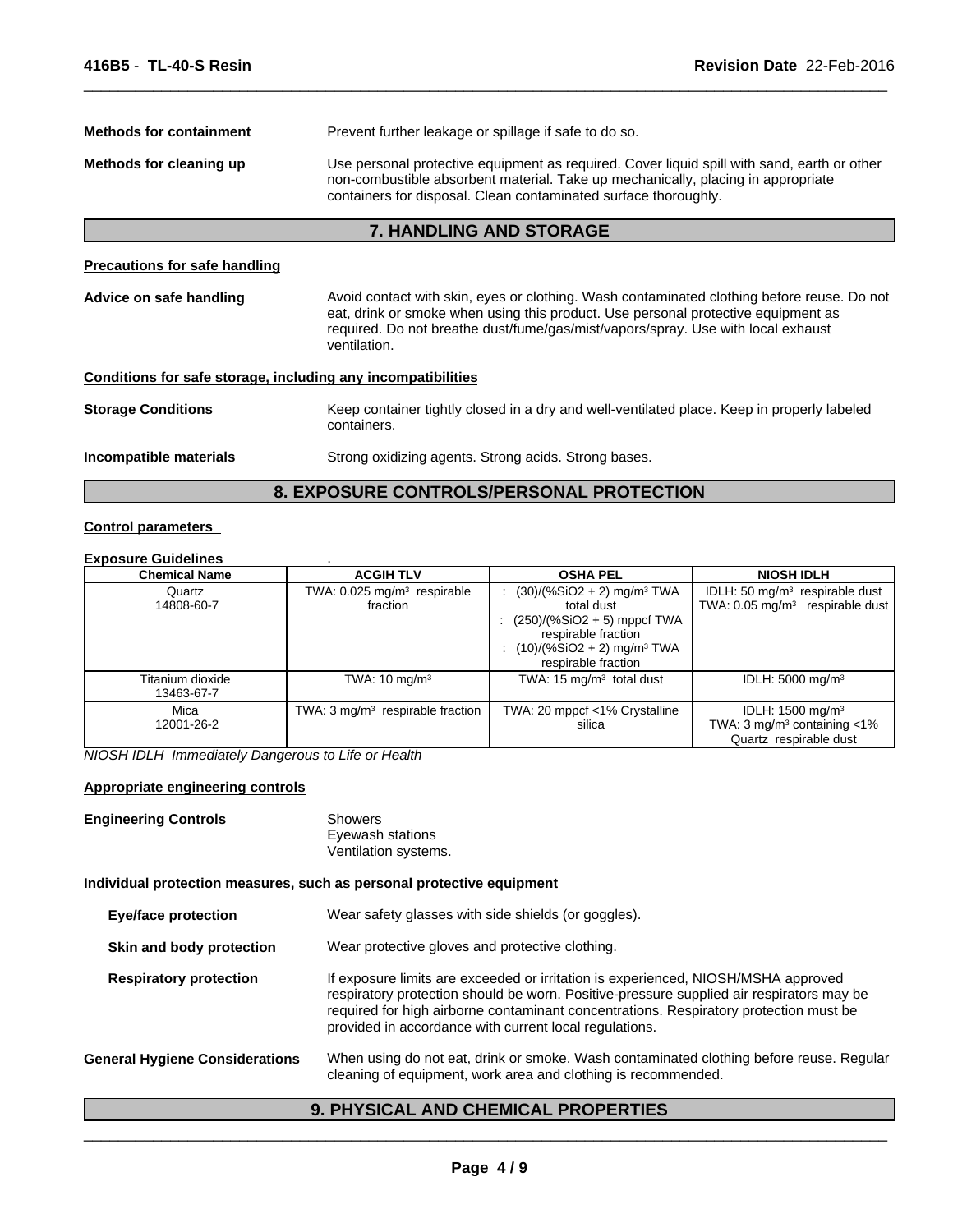| <b>Methods for containment</b>                               | Prevent further leakage or spillage if safe to do so.                                                                                                                                                                                                                               |  |  |  |  |
|--------------------------------------------------------------|-------------------------------------------------------------------------------------------------------------------------------------------------------------------------------------------------------------------------------------------------------------------------------------|--|--|--|--|
| Methods for cleaning up                                      | Use personal protective equipment as required. Cover liquid spill with sand, earth or other<br>non-combustible absorbent material. Take up mechanically, placing in appropriate<br>containers for disposal. Clean contaminated surface thoroughly.                                  |  |  |  |  |
|                                                              | <b>7. HANDLING AND STORAGE</b>                                                                                                                                                                                                                                                      |  |  |  |  |
| <b>Precautions for safe handling</b>                         |                                                                                                                                                                                                                                                                                     |  |  |  |  |
| Advice on safe handling                                      | Avoid contact with skin, eyes or clothing. Wash contaminated clothing before reuse. Do not<br>eat, drink or smoke when using this product. Use personal protective equipment as<br>required. Do not breathe dust/fume/gas/mist/vapors/spray. Use with local exhaust<br>ventilation. |  |  |  |  |
| Conditions for safe storage, including any incompatibilities |                                                                                                                                                                                                                                                                                     |  |  |  |  |
| <b>Storage Conditions</b>                                    | Keep container tightly closed in a dry and well-ventilated place. Keep in properly labeled<br>containers.                                                                                                                                                                           |  |  |  |  |
| Incompatible materials                                       | Strong oxidizing agents. Strong acids. Strong bases.                                                                                                                                                                                                                                |  |  |  |  |

 $\overline{\phantom{a}}$  ,  $\overline{\phantom{a}}$  ,  $\overline{\phantom{a}}$  ,  $\overline{\phantom{a}}$  ,  $\overline{\phantom{a}}$  ,  $\overline{\phantom{a}}$  ,  $\overline{\phantom{a}}$  ,  $\overline{\phantom{a}}$  ,  $\overline{\phantom{a}}$  ,  $\overline{\phantom{a}}$  ,  $\overline{\phantom{a}}$  ,  $\overline{\phantom{a}}$  ,  $\overline{\phantom{a}}$  ,  $\overline{\phantom{a}}$  ,  $\overline{\phantom{a}}$  ,  $\overline{\phantom{a}}$ 

# **8. EXPOSURE CONTROLS/PERSONAL PROTECTION**

# **Control parameters**

# **Exposure Guidelines** .

| <b>Chemical Name</b>           | <b>ACGIH TLV</b>                                      | <b>OSHA PEL</b>                                                                                                                                                                     | <b>NIOSH IDLH</b>                                                                                   |
|--------------------------------|-------------------------------------------------------|-------------------------------------------------------------------------------------------------------------------------------------------------------------------------------------|-----------------------------------------------------------------------------------------------------|
| Quartz<br>14808-60-7           | TWA: $0.025$ mg/m <sup>3</sup> respirable<br>fraction | $(30)/(%SiO2 + 2)$ mg/m <sup>3</sup> TWA<br>total dust<br>: $(250)/(%SiO2 + 5)$ mppcf TWA<br>respirable fraction<br>$(10)/(%SiO2 + 2)$ mg/m <sup>3</sup> TWA<br>respirable fraction | IDLH: 50 $mq/m3$ respirable dust<br>TWA: $0.05$ mg/m <sup>3</sup> respirable dust                   |
| Titanium dioxide<br>13463-67-7 | TWA: $10 \text{ mg/m}^3$                              | TWA: $15 \text{ mg/m}^3$ total dust                                                                                                                                                 | IDLH: $5000 \text{ mg/m}^3$                                                                         |
| Mica<br>12001-26-2             | TWA: $3 \text{mq/m}^3$ respirable fraction            | TWA: 20 mppcf <1% Crystalline<br>silica                                                                                                                                             | IDLH: $1500 \text{ mg/m}^3$<br>TWA: 3 mg/m <sup>3</sup> containing $<$ 1%<br>Quartz respirable dust |

*NIOSH IDLH Immediately Dangerous to Life or Health*

# **Appropriate engineering controls**

| <b>Engineering Controls</b> | Showers<br>Eyewash stations |
|-----------------------------|-----------------------------|
|                             | Ventilation systems.        |

# **Individual protection measures, such as personal protective equipment**

| <b>Eye/face protection</b> |                                       | Wear safety glasses with side shields (or goggles).                                                                                                                                                                                                                                                                              |  |  |  |
|----------------------------|---------------------------------------|----------------------------------------------------------------------------------------------------------------------------------------------------------------------------------------------------------------------------------------------------------------------------------------------------------------------------------|--|--|--|
|                            | Skin and body protection              | Wear protective gloves and protective clothing.                                                                                                                                                                                                                                                                                  |  |  |  |
|                            | <b>Respiratory protection</b>         | If exposure limits are exceeded or irritation is experienced, NIOSH/MSHA approved<br>respiratory protection should be worn. Positive-pressure supplied air respirators may be<br>required for high airborne contaminant concentrations. Respiratory protection must be<br>provided in accordance with current local regulations. |  |  |  |
|                            | <b>General Hygiene Considerations</b> | When using do not eat, drink or smoke. Wash contaminated clothing before reuse. Regular<br>cleaning of equipment, work area and clothing is recommended.                                                                                                                                                                         |  |  |  |

# **9. PHYSICAL AND CHEMICAL PROPERTIES**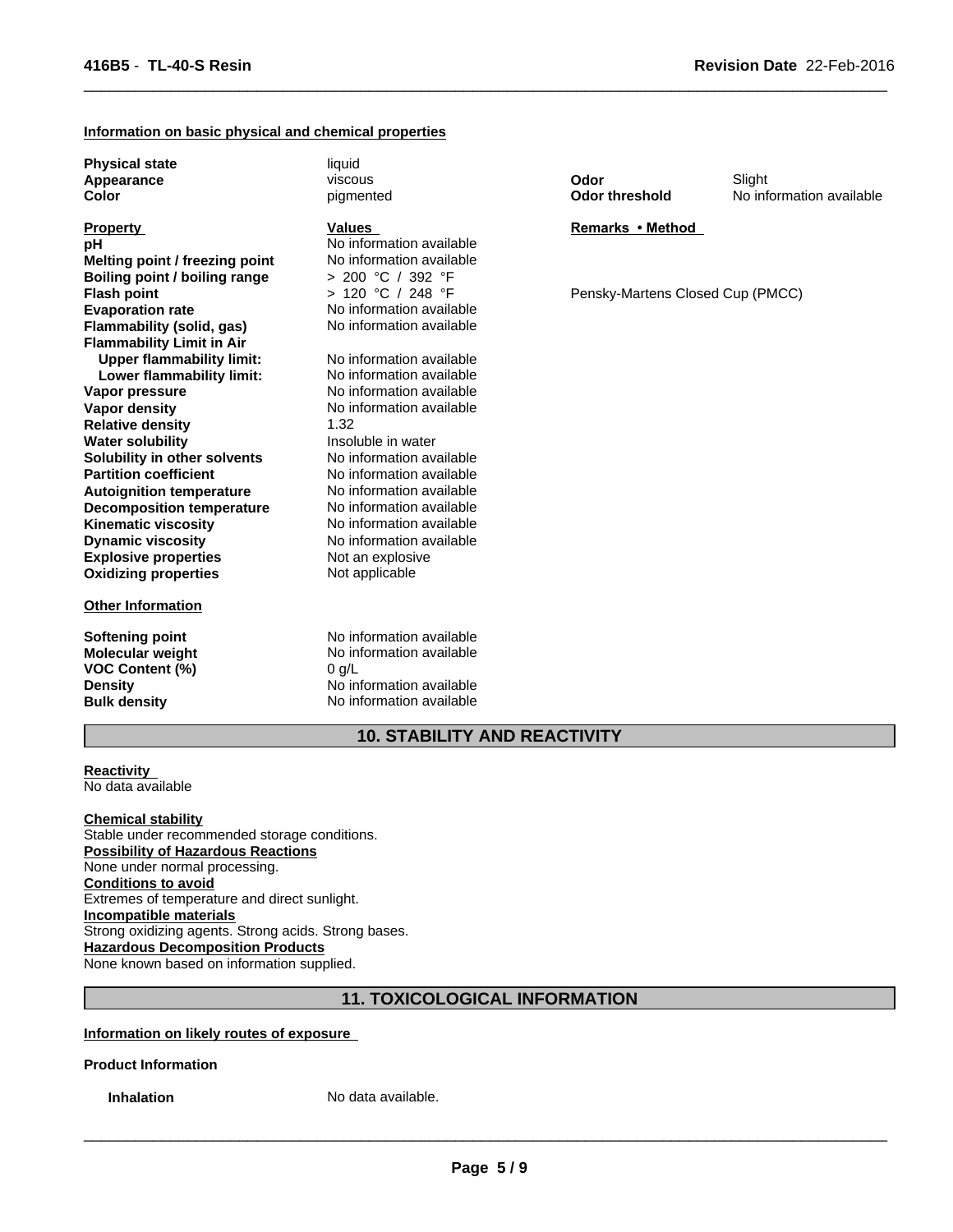### **Information on basic physical and chemical properties**

**Physical state** liquid **Appearance Color**

**Explosive properties** Not an explosive<br> **Oxidizing properties** Not applicable **Oxidizing properties Partition coefficient No information available**<br> **Autoignition temperature No information available Autoignition temperature No information available**<br> **Decomposition temperature No information available Flash point Decomposition temperature** No information available<br> **Kinematic viscosity** No information available **Kinematic viscosity Dynamic viscosity** No information available **Property Flammability (solid, gas) Flammability Limit in Air**<br>**Upper flammability limit:** No information available **Upper flammability limit:** No information available<br> **Lower flammability limit:** No information available **pH** No information available **Lower flammability limit: Vapor pressure** No information available **Vapor density** No information available **Melting point / freezing point** No information available **Relative density** 1.32 **Water solubility Insoluble in water Solubility in other solvents** No information available **Boiling point / boiling range** > 200 °C / 392 °F

#### **Other Information**

**VOC Content (%)** 0 g/L

viscous pigmented

> 120 °C / 248 °F **Values** 

No information available<br>No information available

**Softening point** No information available **Molecular weight** No information available **Density** No information available **Bulk density** No information available **Odor**

 $\overline{\phantom{a}}$  ,  $\overline{\phantom{a}}$  ,  $\overline{\phantom{a}}$  ,  $\overline{\phantom{a}}$  ,  $\overline{\phantom{a}}$  ,  $\overline{\phantom{a}}$  ,  $\overline{\phantom{a}}$  ,  $\overline{\phantom{a}}$  ,  $\overline{\phantom{a}}$  ,  $\overline{\phantom{a}}$  ,  $\overline{\phantom{a}}$  ,  $\overline{\phantom{a}}$  ,  $\overline{\phantom{a}}$  ,  $\overline{\phantom{a}}$  ,  $\overline{\phantom{a}}$  ,  $\overline{\phantom{a}}$ 

**Odor threshold** No information available Slight

### **Remarks•Method**

Pensky-Martens Closed Cup (PMCC)

# **10. STABILITY AND REACTIVITY**

**Reactivity**  No data available

### **Chemical stability**

Stable under recommended storage conditions. **Possibility of Hazardous Reactions** None under normal processing. **Conditions to avoid** Extremes of temperature and direct sunlight. **Incompatible materials** Strong oxidizing agents. Strong acids. Strong bases. **Hazardous Decomposition Products** None known based on information supplied.

# **11. TOXICOLOGICAL INFORMATION**

**Information on likely routes of exposure** 

**Product Information**

**Inhalation** No data available.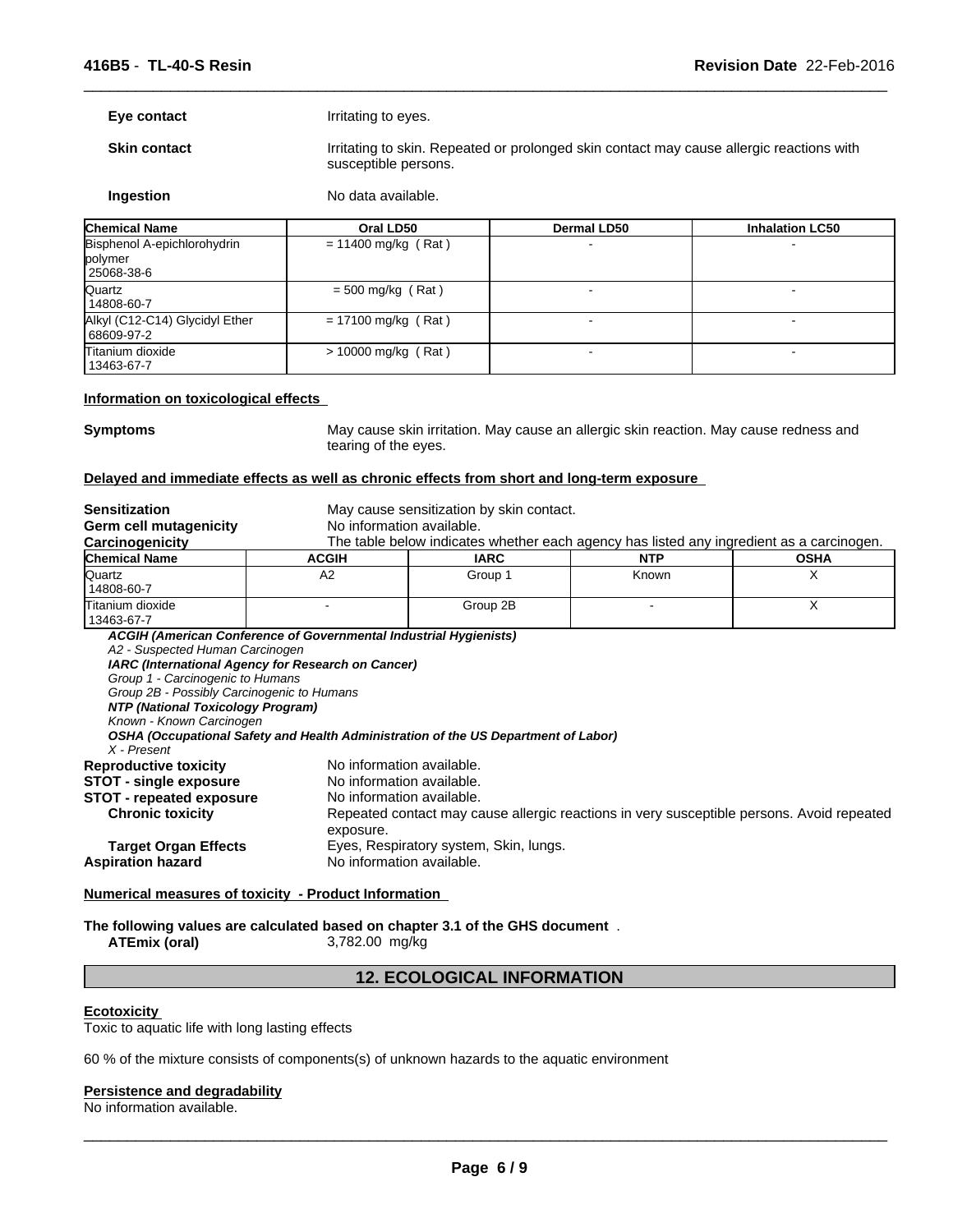| Eye contact                                                                                                                                                                                       |                                                                                                                                                                                                               | Irritating to eyes.                                                                                                                 |                |  |             |  |
|---------------------------------------------------------------------------------------------------------------------------------------------------------------------------------------------------|---------------------------------------------------------------------------------------------------------------------------------------------------------------------------------------------------------------|-------------------------------------------------------------------------------------------------------------------------------------|----------------|--|-------------|--|
| <b>Skin contact</b>                                                                                                                                                                               |                                                                                                                                                                                                               | Irritating to skin. Repeated or prolonged skin contact may cause allergic reactions with<br>susceptible persons.                    |                |  |             |  |
| Ingestion                                                                                                                                                                                         |                                                                                                                                                                                                               | No data available.                                                                                                                  |                |  |             |  |
| <b>Chemical Name</b>                                                                                                                                                                              |                                                                                                                                                                                                               | Oral LD50<br>Dermal LD50<br><b>Inhalation LC50</b>                                                                                  |                |  |             |  |
| Bisphenol A-epichlorohydrin<br>polymer<br>25068-38-6                                                                                                                                              |                                                                                                                                                                                                               | $= 11400$ mg/kg (Rat)                                                                                                               |                |  |             |  |
| Quartz<br>14808-60-7                                                                                                                                                                              | $= 500$ mg/kg (Rat)                                                                                                                                                                                           |                                                                                                                                     | $\blacksquare$ |  | $\sim$      |  |
| Alkyl (C12-C14) Glycidyl Ether<br>68609-97-2                                                                                                                                                      | $= 17100$ mg/kg (Rat)                                                                                                                                                                                         |                                                                                                                                     |                |  |             |  |
| Titanium dioxide<br>13463-67-7                                                                                                                                                                    | > 10000 mg/kg (Rat)                                                                                                                                                                                           |                                                                                                                                     |                |  |             |  |
| Information on toxicological effects                                                                                                                                                              |                                                                                                                                                                                                               |                                                                                                                                     |                |  |             |  |
| <b>Symptoms</b>                                                                                                                                                                                   | tearing of the eyes.                                                                                                                                                                                          | May cause skin irritation. May cause an allergic skin reaction. May cause redness and                                               |                |  |             |  |
| Delayed and immediate effects as well as chronic effects from short and long-term exposure                                                                                                        |                                                                                                                                                                                                               |                                                                                                                                     |                |  |             |  |
| <b>Sensitization</b><br>Germ cell mutagenicity                                                                                                                                                    | No information available.                                                                                                                                                                                     | May cause sensitization by skin contact.                                                                                            |                |  |             |  |
| Carcinogenicity<br><b>Chemical Name</b>                                                                                                                                                           | <b>ACGIH</b>                                                                                                                                                                                                  | The table below indicates whether each agency has listed any ingredient as a carcinogen.<br><b>IARC</b>                             | <b>NTP</b>     |  | <b>OSHA</b> |  |
| Quartz                                                                                                                                                                                            | A2                                                                                                                                                                                                            | Group 1                                                                                                                             | Known          |  | X           |  |
| 14808-60-7                                                                                                                                                                                        |                                                                                                                                                                                                               |                                                                                                                                     |                |  |             |  |
| Titanium dioxide<br>13463-67-7                                                                                                                                                                    |                                                                                                                                                                                                               | Group 2B                                                                                                                            |                |  | Χ           |  |
| A2 - Suspected Human Carcinogen<br>Group 1 - Carcinogenic to Humans<br>Group 2B - Possibly Carcinogenic to Humans<br>NTP (National Toxicology Program)<br>Known - Known Carcinogen<br>X - Present | ACGIH (American Conference of Governmental Industrial Hygienists)<br>IARC (International Agency for Research on Cancer)<br>OSHA (Occupational Safety and Health Administration of the US Department of Labor) |                                                                                                                                     |                |  |             |  |
| <b>Reproductive toxicity</b><br><b>STOT - single exposure</b><br><b>STOT - repeated exposure</b><br><b>Chronic toxicity</b><br><b>Target Organ Effects</b><br><b>Aspiration hazard</b>            | No information available.<br>No information available.<br>No information available.<br>exposure.<br>No information available.                                                                                 | Repeated contact may cause allergic reactions in very susceptible persons. Avoid repeated<br>Eyes, Respiratory system, Skin, lungs. |                |  |             |  |
| Numerical measures of toxicity - Product Information                                                                                                                                              |                                                                                                                                                                                                               |                                                                                                                                     |                |  |             |  |
| The following values are calculated based on chapter 3.1 of the GHS document.<br><b>ATEmix (oral)</b>                                                                                             | 3,782.00 mg/kg                                                                                                                                                                                                |                                                                                                                                     |                |  |             |  |

 $\overline{\phantom{a}}$  ,  $\overline{\phantom{a}}$  ,  $\overline{\phantom{a}}$  ,  $\overline{\phantom{a}}$  ,  $\overline{\phantom{a}}$  ,  $\overline{\phantom{a}}$  ,  $\overline{\phantom{a}}$  ,  $\overline{\phantom{a}}$  ,  $\overline{\phantom{a}}$  ,  $\overline{\phantom{a}}$  ,  $\overline{\phantom{a}}$  ,  $\overline{\phantom{a}}$  ,  $\overline{\phantom{a}}$  ,  $\overline{\phantom{a}}$  ,  $\overline{\phantom{a}}$  ,  $\overline{\phantom{a}}$ 

# **12. ECOLOGICAL INFORMATION**

### **Ecotoxicity**

Toxic to aquatic life with long lasting effects

60 % of the mixture consists of components(s) of unknown hazards to the aquatic environment

### **Persistence and degradability**

No information available.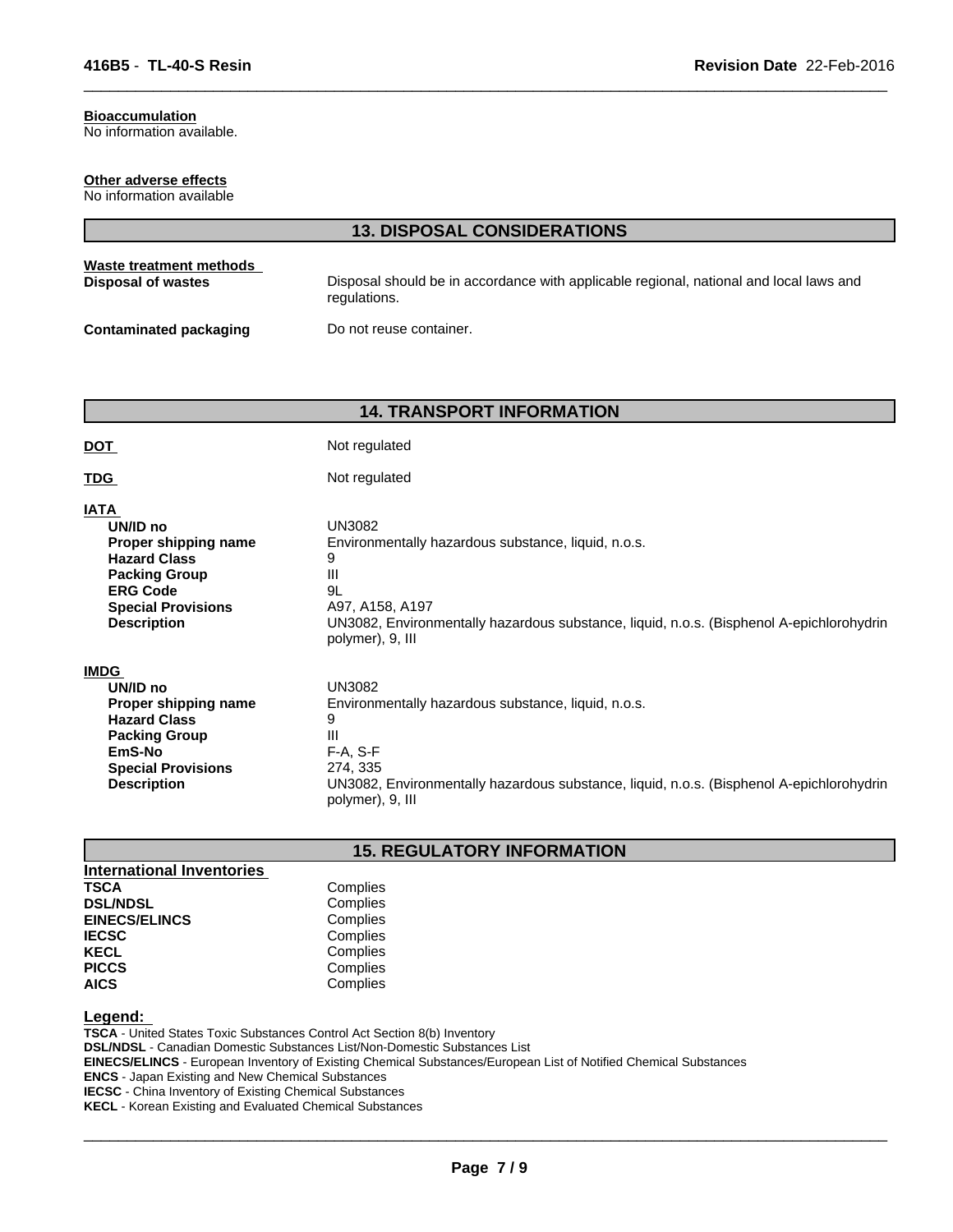# **Bioaccumulation**

No information available.

### **Other adverse effects**

No information available

|                                               | <b>13. DISPOSAL CONSIDERATIONS</b>                                                                     |
|-----------------------------------------------|--------------------------------------------------------------------------------------------------------|
| Waste treatment methods<br>Disposal of wastes | Disposal should be in accordance with applicable regional, national and local laws and<br>regulations. |
| <b>Contaminated packaging</b>                 | Do not reuse container.                                                                                |

 $\overline{\phantom{a}}$  ,  $\overline{\phantom{a}}$  ,  $\overline{\phantom{a}}$  ,  $\overline{\phantom{a}}$  ,  $\overline{\phantom{a}}$  ,  $\overline{\phantom{a}}$  ,  $\overline{\phantom{a}}$  ,  $\overline{\phantom{a}}$  ,  $\overline{\phantom{a}}$  ,  $\overline{\phantom{a}}$  ,  $\overline{\phantom{a}}$  ,  $\overline{\phantom{a}}$  ,  $\overline{\phantom{a}}$  ,  $\overline{\phantom{a}}$  ,  $\overline{\phantom{a}}$  ,  $\overline{\phantom{a}}$ 

# **14. TRANSPORT INFORMATION**

| <b>DOT</b>                                                                                                                                                           | Not regulated                                                                                                                                                                                                            |  |  |  |  |
|----------------------------------------------------------------------------------------------------------------------------------------------------------------------|--------------------------------------------------------------------------------------------------------------------------------------------------------------------------------------------------------------------------|--|--|--|--|
| <u>TDG</u>                                                                                                                                                           | Not regulated                                                                                                                                                                                                            |  |  |  |  |
| <b>IATA</b><br>UN/ID no<br>Proper shipping name<br><b>Hazard Class</b><br><b>Packing Group</b><br><b>ERG Code</b><br><b>Special Provisions</b><br><b>Description</b> | <b>UN3082</b><br>Environmentally hazardous substance, liquid, n.o.s.<br>9<br>Ш<br>9L<br>A97, A158, A197<br>UN3082, Environmentally hazardous substance, liquid, n.o.s. (Bisphenol A-epichlorohydrin<br>polymer), 9, III  |  |  |  |  |
| <b>IMDG</b><br>UN/ID no<br>Proper shipping name<br><b>Hazard Class</b><br><b>Packing Group</b><br>EmS-No<br><b>Special Provisions</b><br><b>Description</b>          | <b>UN3082</b><br>Environmentally hazardous substance, liquid, n.o.s.<br>9<br>Ш<br>$F-A, S-F$<br>274, 335<br>UN3082, Environmentally hazardous substance, liquid, n.o.s. (Bisphenol A-epichlorohydrin<br>polymer), 9, III |  |  |  |  |

# **15. REGULATORY INFORMATION**

| International Inventories |     |
|---------------------------|-----|
| <b>TSCA</b>               | Con |
| <b>DSL/NDSL</b>           | Cor |
| <b>EINECS/ELINCS</b>      | Cor |
| <b>IECSC</b>              | Cor |
| <b>KECL</b>               | Cor |
| <b>PICCS</b>              | Cor |
| <b>AICS</b>               | Cor |

# **Legend:**

**TSCA** - United States Toxic Substances Control Act Section 8(b) Inventory **DSL/NDSL** - Canadian Domestic Substances List/Non-Domestic Substances List **EINECS/ELINCS** - European Inventory of Existing Chemical Substances/European List of Notified Chemical Substances **ENCS** - Japan Existing and New Chemical Substances **IECSC** - China Inventory of Existing Chemical Substances **KECL** - Korean Existing and Evaluated Chemical Substances

**Complies Complies Complies Complies Complies Complies AICS** Complies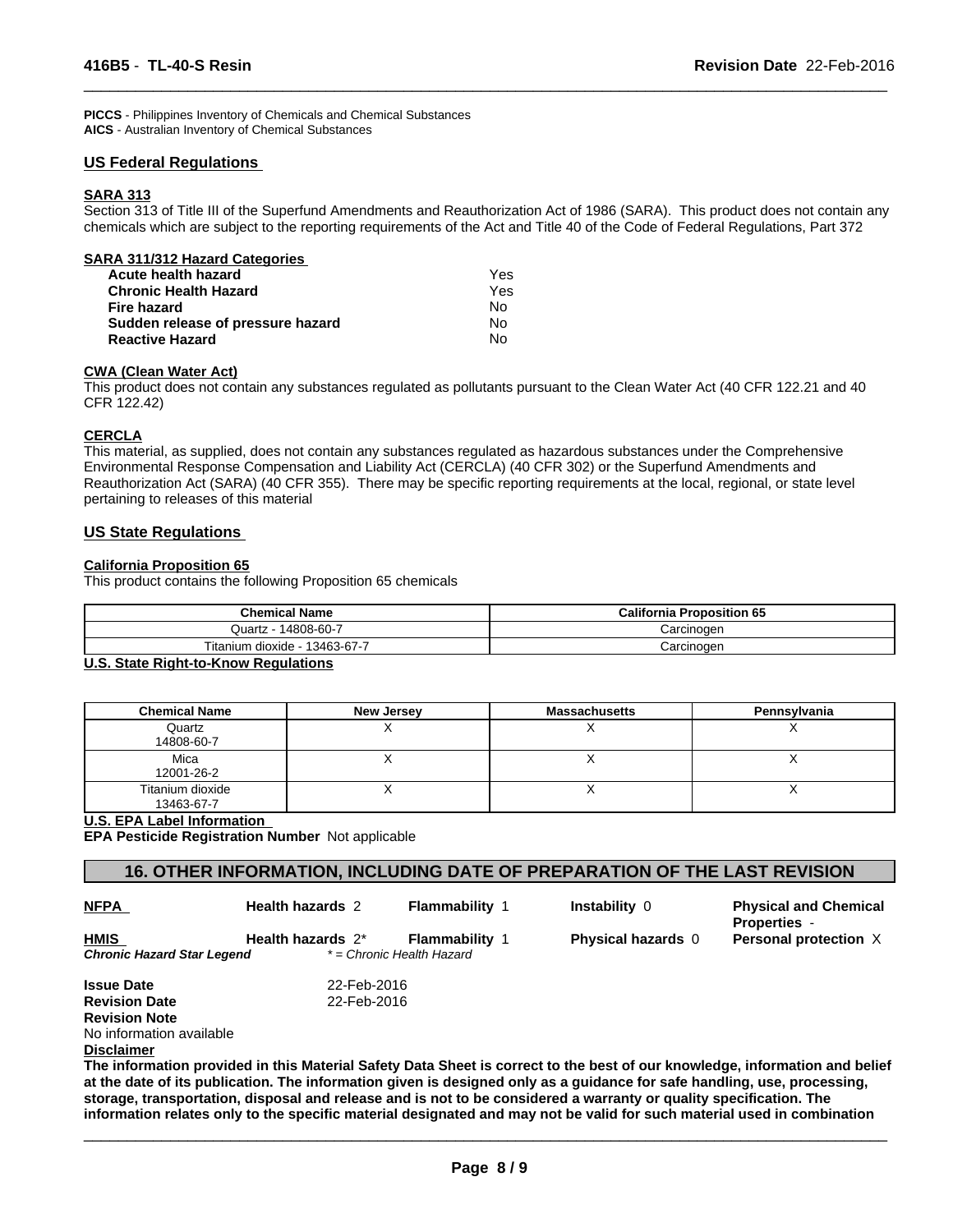**PICCS** - Philippines Inventory of Chemicals and Chemical Substances **AICS** - Australian Inventory of Chemical Substances

### **US Federal Regulations**

### **SARA 313**

Section 313 of Title III of the Superfund Amendments and Reauthorization Act of 1986 (SARA). This product does not contain any chemicals which are subject to the reporting requirements of the Act and Title 40 of the Code of Federal Regulations, Part 372

 $\overline{\phantom{a}}$  ,  $\overline{\phantom{a}}$  ,  $\overline{\phantom{a}}$  ,  $\overline{\phantom{a}}$  ,  $\overline{\phantom{a}}$  ,  $\overline{\phantom{a}}$  ,  $\overline{\phantom{a}}$  ,  $\overline{\phantom{a}}$  ,  $\overline{\phantom{a}}$  ,  $\overline{\phantom{a}}$  ,  $\overline{\phantom{a}}$  ,  $\overline{\phantom{a}}$  ,  $\overline{\phantom{a}}$  ,  $\overline{\phantom{a}}$  ,  $\overline{\phantom{a}}$  ,  $\overline{\phantom{a}}$ 

| SARA 311/312 Hazard Categories    |     |  |
|-----------------------------------|-----|--|
| Acute health hazard               | Yes |  |
| <b>Chronic Health Hazard</b>      | Yes |  |
| Fire hazard                       | No  |  |
| Sudden release of pressure hazard | No  |  |
| <b>Reactive Hazard</b>            | N٥  |  |

### **CWA (Clean Water Act)**

This product does not contain any substances regulated as pollutants pursuant to the Clean Water Act (40 CFR 122.21 and 40 CFR 122.42)

### **CERCLA**

This material, as supplied, does not contain any substances regulated as hazardous substances under the Comprehensive Environmental Response Compensation and Liability Act (CERCLA) (40 CFR 302) or the Superfund Amendments and Reauthorization Act (SARA) (40 CFR 355). There may be specific reporting requirements at the local, regional, or state level pertaining to releases of this material

### **US State Regulations**

### **California Proposition 65**

This product contains the following Proposition 65 chemicals

| <b>Chemical Name</b>                        | <b>California Proposition 65</b> |
|---------------------------------------------|----------------------------------|
| Quartz - 14808-60-7                         | Carcinogen                       |
| Titanium dioxide - 13463-67-7               | Carcinogen                       |
| <b>U.C. Cista Diabi ta Knaw Dequistions</b> |                                  |

### **U.S. State Right-to-Know Regulations**

| <b>Chemical Name</b>           | New Jersey | <b>Massachusetts</b> | Pennsylvania |
|--------------------------------|------------|----------------------|--------------|
| Quartz<br>14808-60-7           |            |                      |              |
| Mica<br>12001-26-2             |            |                      |              |
| Titanium dioxide<br>13463-67-7 |            |                      |              |

### **U.S. EPA Label Information**

**EPA Pesticide Registration Number** Not applicable

### **16. OTHER INFORMATION, INCLUDING DATE OF PREPARATION OF THE LAST REVISION**

| <b>NFPA</b> |
|-------------|
|-------------|

**HMIS** 

**Health hazards** 2

**Flammability** 1

 $\overline{\phantom{a}}$  ,  $\overline{\phantom{a}}$  ,  $\overline{\phantom{a}}$  ,  $\overline{\phantom{a}}$  ,  $\overline{\phantom{a}}$  ,  $\overline{\phantom{a}}$  ,  $\overline{\phantom{a}}$  ,  $\overline{\phantom{a}}$  ,  $\overline{\phantom{a}}$  ,  $\overline{\phantom{a}}$  ,  $\overline{\phantom{a}}$  ,  $\overline{\phantom{a}}$  ,  $\overline{\phantom{a}}$  ,  $\overline{\phantom{a}}$  ,  $\overline{\phantom{a}}$  ,  $\overline{\phantom{a}}$ 

**Physical and Chemical Properties** - **Health hazards** 2\* **Flammability** 1 **Physical hazards** 0 **Personal protection** X

**Issue Date** 22-Feb-2016 **Revision Date** 22-Feb-2016 **Revision Note** No information available

*Chronic Hazard Star Legend \* = Chronic Health Hazard*

### **Disclaimer**

**The information provided in this Material Safety Data Sheet is correct to the best of our knowledge, information and belief at the date of its publication. The information given is designed only as a guidance for safe handling, use, processing, storage, transportation, disposal and release and is not to be considered a warranty or quality specification. The information relates only to the specific material designated and may not be valid for such material used in combination**